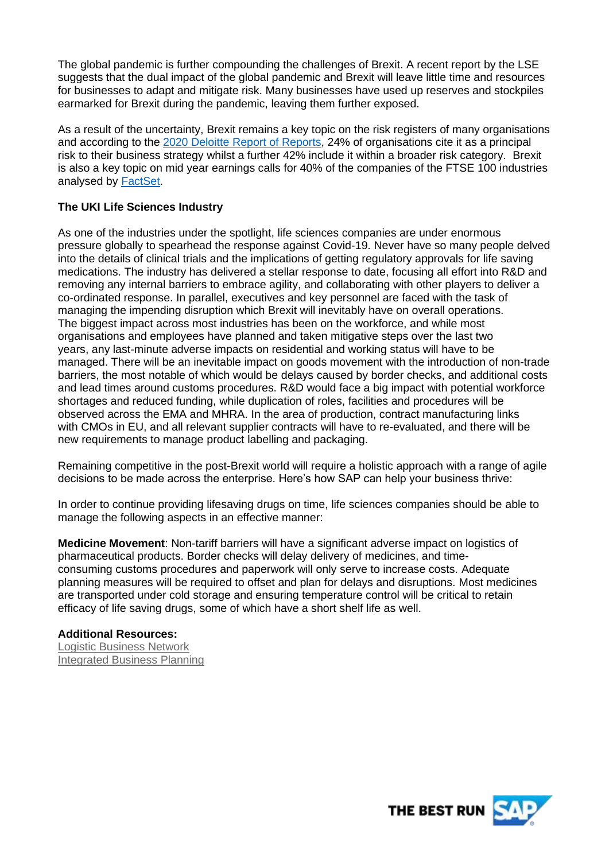The global pandemic is further compounding the challenges of Brexit. A recent report by the LSE suggests that the dual impact of the global pandemic and Brexit will leave little time and resources for businesses to adapt and mitigate risk. Many businesses have used up reserves and stockpiles earmarked for Brexit during the pandemic, leaving them further exposed.

As a result of the uncertainty, Brexit remains a key topic on the risk registers of many organisations and according to the [2020 Deloitte Report of Reports,](https://www2.deloitte.com/uk/en/pages/audit/articles/annual-report-insights-2020.html) 24% of organisations cite it as a principal risk to their business strategy whilst a further 42% include it within a broader risk category. Brexit is also a key topic on mid year earnings calls for 40% of the companies of the FTSE 100 industries analysed by [FactSet.](https://insight.factset.com/which-uk-industries-will-likely-be-impacted-by-brexit)

# **The UKI Life Sciences Industry**

As one of the industries under the spotlight, life sciences companies are under enormous pressure globally to spearhead the response against Covid-19. Never have so many people delved into the details of clinical trials and the implications of getting regulatory approvals for life saving medications. The industry has delivered a stellar response to date, focusing all effort into R&D and removing any internal barriers to embrace agility, and collaborating with other players to deliver a co-ordinated response. In parallel, executives and key personnel are faced with the task of managing the impending disruption which Brexit will inevitably have on overall operations. The biggest impact across most industries has been on the workforce, and while most organisations and employees have planned and taken mitigative steps over the last two years, any last-minute adverse impacts on residential and working status will have to be managed. There will be an inevitable impact on goods movement with the introduction of non-trade barriers, the most notable of which would be delays caused by border checks, and additional costs and lead times around customs procedures. R&D would face a big impact with potential workforce shortages and reduced funding, while duplication of roles, facilities and procedures will be observed across the EMA and MHRA. In the area of production, contract manufacturing links with CMOs in EU, and all relevant supplier contracts will have to re-evaluated, and there will be new requirements to manage product labelling and packaging.

Remaining competitive in the post-Brexit world will require a holistic approach with a range of agile decisions to be made across the enterprise. Here's how SAP can help your business thrive:

In order to continue providing lifesaving drugs on time, life sciences companies should be able to manage the following aspects in an effective manner:

**Medicine Movement**: Non-tariff barriers will have a significant adverse impact on logistics of pharmaceutical products. Border checks will delay delivery of medicines, and timeconsuming customs procedures and paperwork will only serve to increase costs. Adequate planning measures will be required to offset and plan for delays and disruptions. Most medicines are transported under cold storage and ensuring temperature control will be critical to retain efficacy of life saving drugs, some of which have a short shelf life as well.

## **Additional Resources:**

[Logistic Business Network](https://www.sap.com/uk/products/logistics-business-network.html) [Integrated Business Planning](https://www.sap.com/uk/products/integrated-business-planning.html)